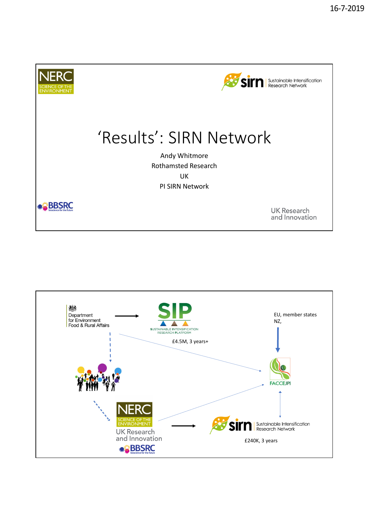

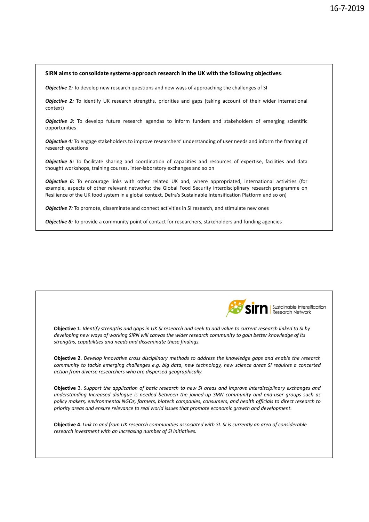#### **SIRN aims to consolidate systems‐approach research in the UK with the following objectives**:

**Objective 1:** To develop new research questions and new ways of approaching the challenges of SI

*Objective 2:* To identify UK research strengths, priorities and gaps (taking account of their wider international context)

*Objective 3*: To develop future research agendas to inform funders and stakeholders of emerging scientific opportunities

*Objective 4:* To engage stakeholders to improve researchers' understanding of user needs and inform the framing of research questions

*Objective 5:* To facilitate sharing and coordination of capacities and resources of expertise, facilities and data thought workshops, training courses, inter‐laboratory exchanges and so on

*Objective 6:* To encourage links with other related UK and, where appropriated, international activities (for example, aspects of other relevant networks; the Global Food Security interdisciplinary research programme on Resilience of the UK food system in a global context, Defra's Sustainable Intensification Platform and so on)

**Objective 7:** To promote, disseminate and connect activities in SI research, and stimulate new ones

*Objective 8:* To provide a community point of contact for researchers, stakeholders and funding agencies



Sustainable Intensification Research Network

**Objective 1**. *Identify strengths and gaps in UK SI research and seek to add value to current research linked to SI by developing new ways of working SIRN will canvas the wider research community to gain better knowledge of its strengths, capabilities and needs and disseminate these findings.* 

**Objective 2**. *Develop innovative cross disciplinary methods to address the knowledge gaps and enable the research community to tackle emerging challenges e.g. big data, new technology, new science areas SI requires a concerted action from diverse researchers who are dispersed geographically.*

**Objective** 3. *Support the application of basic research to new SI areas and improve interdisciplinary exchanges and understanding Increased dialogue is needed between the joined‐up SIRN community and end‐user groups such as policy makers, environmental NGOs, farmers, biotech companies, consumers, and health officials to direct research to priority areas and ensure relevance to real world issues that promote economic growth and development.*

**Objective 4**. *Link to and from UK research communities associated with SI. SI is currently an area of considerable research investment with an increasing number of SI initiatives.*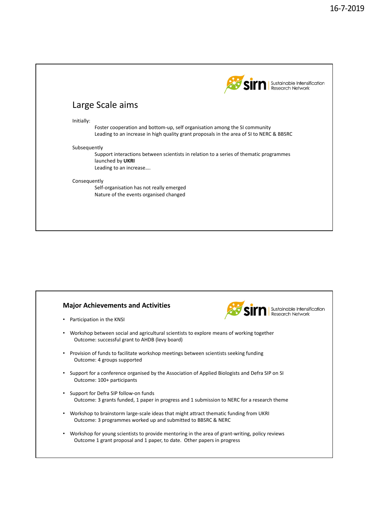

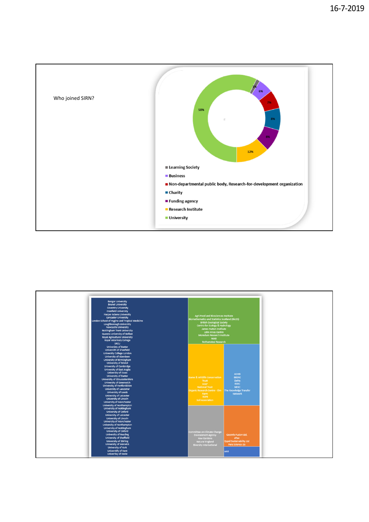

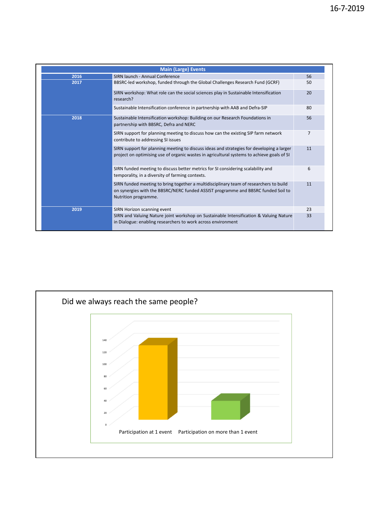| <b>Main (Large) Events</b> |                                                                                                                                                                                                     |    |
|----------------------------|-----------------------------------------------------------------------------------------------------------------------------------------------------------------------------------------------------|----|
| 2016                       | SIRN launch - Annual Conference                                                                                                                                                                     | 56 |
| 2017                       | BBSRC-led workshop, funded through the Global Challenges Research Fund (GCRF)                                                                                                                       | 50 |
|                            | SIRN workshop: What role can the social sciences play in Sustainable Intensification<br>research?                                                                                                   | 20 |
|                            | Sustainable Intensification conference in partnership with AAB and Defra-SIP                                                                                                                        | 80 |
| 2018                       | Sustainable Intensification workshop: Building on our Research Foundations in<br>partnership with BBSRC, Defra and NERC                                                                             | 56 |
|                            | SIRN support for planning meeting to discuss how can the existing SIP farm network<br>contribute to addressing SI issues                                                                            | 7  |
|                            | SIRN support for planning meeting to discuss ideas and strategies for developing a larger<br>project on optimising use of organic wastes in agricultural systems to achieve goals of SI             | 11 |
|                            | SIRN funded meeting to discuss better metrics for SI considering scalability and<br>temporality, in a diversity of farming contexts.                                                                | 6  |
|                            | SIRN funded meeting to bring together a multidisciplinary team of researchers to build<br>on synergies with the BBSRC/NERC funded ASSIST programme and BBSRC funded Soil to<br>Nutrition programme. | 11 |
| 2019                       | SIRN Horizon scanning event                                                                                                                                                                         | 23 |
|                            | SIRN and Valuing Nature joint workshop on Sustainable Intensification & Valuing Nature<br>in Dialogue: enabling researchers to work across environment                                              | 33 |

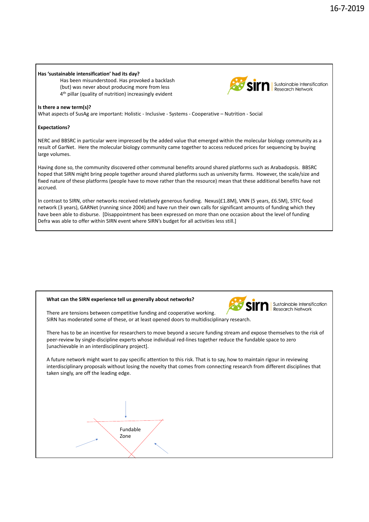## **Has 'sustainable intensification' had its day?**

Has been misunderstood. Has provoked a backlash (but) was never about producing more from less 4<sup>th</sup> pillar (quality of nutrition) increasingly evident



## **Is there a new term(s)?**

What aspects of SusAg are important: Holistic - Inclusive - Systems - Cooperative – Nutrition - Social

# **Expectations?**

NERC and BBSRC in particular were impressed by the added value that emerged within the molecular biology community as a result of GarNet. Here the molecular biology community came together to access reduced prices for sequencing by buying large volumes.

Having done so, the community discovered other communal benefits around shared platforms such as Arabadopsis. BBSRC hoped that SIRN might bring people together around shared platforms such as university farms. However, the scale/size and fixed nature of these platforms (people have to move rather than the resource) mean that these additional benefits have not accrued.

In contrast to SIRN, other networks received relatively generous funding. Nexus(£1.8M), VNN (5 years, £6.5M), STFC food network (3 years), GARNet (running since 2004) and have run their own calls for significant amounts of funding which they have been able to disburse. [Disappointment has been expressed on more than one occasion about the level of funding Defra was able to offer within SIRN event where SIRN's budget for all activities less still.]





Sustainable Intensification **Research Network** 

There are tensions between competitive funding and cooperative working. SIRN has moderated some of these, or at least opened doors to multidisciplinary research.

There has to be an incentive for researchers to move beyond a secure funding stream and expose themselves to the risk of peer-review by single-discipline experts whose individual red-lines together reduce the fundable space to zero [unachievable in an interdisciplinary project].

A future network might want to pay specific attention to this risk. That is to say, how to maintain rigour in reviewing interdisciplinary proposals without losing the novelty that comes from connecting research from different disciplines that taken singly, are off the leading edge.